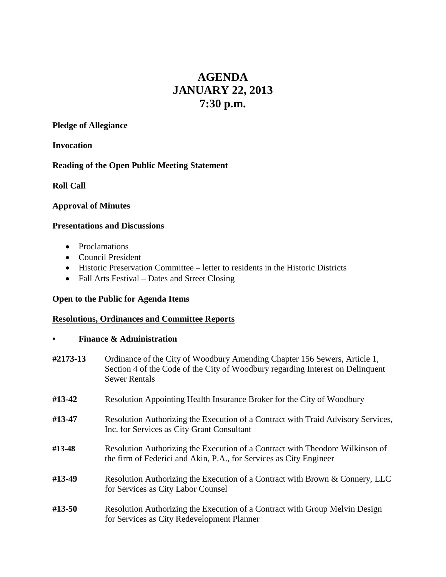# **AGENDA JANUARY 22, 2013 7:30 p.m.**

**Pledge of Allegiance**

**Invocation**

### **Reading of the Open Public Meeting Statement**

**Roll Call**

#### **Approval of Minutes**

#### **Presentations and Discussions**

- Proclamations
- Council President
- Historic Preservation Committee letter to residents in the Historic Districts
- Fall Arts Festival Dates and Street Closing

### **Open to the Public for Agenda Items**

### **Resolutions, Ordinances and Committee Reports**

#### **• Finance & Administration**

- **#2173-13** Ordinance of the City of Woodbury Amending Chapter 156 Sewers, Article 1, Section 4 of the Code of the City of Woodbury regarding Interest on Delinquent Sewer Rentals
- **#13-42** Resolution Appointing Health Insurance Broker for the City of Woodbury
- **#13-47** Resolution Authorizing the Execution of a Contract with Traid Advisory Services, Inc. for Services as City Grant Consultant
- **#13-48** Resolution Authorizing the Execution of a Contract with Theodore Wilkinson of the firm of Federici and Akin, P.A., for Services as City Engineer
- **#13-49** Resolution Authorizing the Execution of a Contract with Brown & Connery, LLC for Services as City Labor Counsel
- **#13-50** Resolution Authorizing the Execution of a Contract with Group Melvin Design for Services as City Redevelopment Planner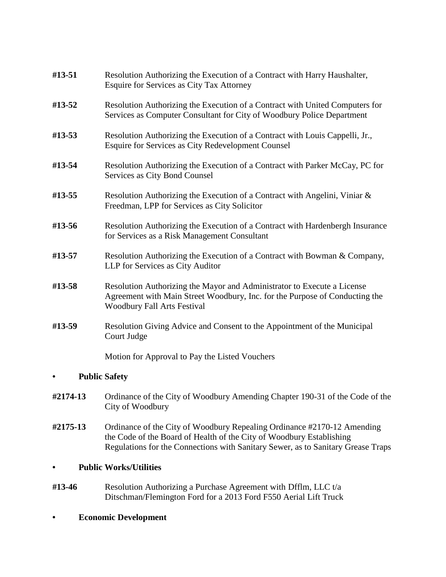| #13-51               | Resolution Authorizing the Execution of a Contract with Harry Haushalter,<br><b>Esquire for Services as City Tax Attorney</b>                                                                |
|----------------------|----------------------------------------------------------------------------------------------------------------------------------------------------------------------------------------------|
| #13-52               | Resolution Authorizing the Execution of a Contract with United Computers for<br>Services as Computer Consultant for City of Woodbury Police Department                                       |
| #13-53               | Resolution Authorizing the Execution of a Contract with Louis Cappelli, Jr.,<br>Esquire for Services as City Redevelopment Counsel                                                           |
| #13-54               | Resolution Authorizing the Execution of a Contract with Parker McCay, PC for<br>Services as City Bond Counsel                                                                                |
| #13-55               | Resolution Authorizing the Execution of a Contract with Angelini, Viniar &<br>Freedman, LPP for Services as City Solicitor                                                                   |
| #13-56               | Resolution Authorizing the Execution of a Contract with Hardenbergh Insurance<br>for Services as a Risk Management Consultant                                                                |
| #13-57               | Resolution Authorizing the Execution of a Contract with Bowman & Company,<br>LLP for Services as City Auditor                                                                                |
| #13-58               | Resolution Authorizing the Mayor and Administrator to Execute a License<br>Agreement with Main Street Woodbury, Inc. for the Purpose of Conducting the<br><b>Woodbury Fall Arts Festival</b> |
| #13-59               | Resolution Giving Advice and Consent to the Appointment of the Municipal<br>Court Judge                                                                                                      |
|                      | Motion for Approval to Pay the Listed Vouchers                                                                                                                                               |
| <b>Public Safety</b> |                                                                                                                                                                                              |
| #2174-13             | Ordinance of the City of Woodbury Amending Chapter 190-31 of the Code of the<br>City of Woodbury                                                                                             |

**#2175-13** Ordinance of the City of Woodbury Repealing Ordinance #2170-12 Amending the Code of the Board of Health of the City of Woodbury Establishing Regulations for the Connections with Sanitary Sewer, as to Sanitary Grease Traps

### **• Public Works/Utilities**

- **#13-46** Resolution Authorizing a Purchase Agreement with Dfflm, LLC t/a Ditschman/Flemington Ford for a 2013 Ford F550 Aerial Lift Truck
- **• Economic Development**